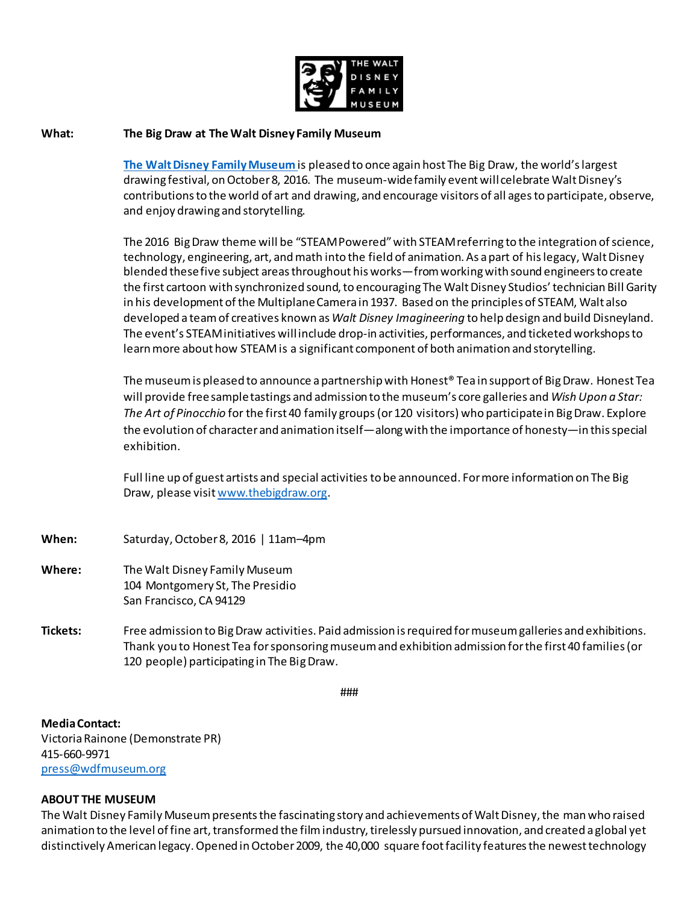

## **What: The Big Draw at The Walt Disney Family Museum**

**[The Walt Disney Family Museum](http://waltdisney.org/)** is pleased to once again host The Big Draw, the world's largest drawing festival, on October 8, 2016. The museum-wide family event will celebrate Walt Disney's contributions to the world of art and drawing, and encourage visitors of all agesto participate, observe, and enjoy drawing and storytelling.

The 2016 Big Draw theme will be "STEAMPowered" with STEAM referring to the integration of science, technology, engineering, art, and math into the field of animation. As a part of his legacy, Walt Disney blended these five subject areas throughout his works—from working with sound engineers to create the first cartoon with synchronized sound, to encouraging The Walt Disney Studios' technician Bill Garity in his development of the Multiplane Camera in 1937. Based on the principles of STEAM, Walt also developed a team of creatives known as *Walt Disney Imagineering* to help design and build Disneyland. The event's STEAM initiatives will include drop-in activities, performances, and ticketed workshops to learn more about how STEAM is a significant component of both animation and storytelling.

The museum is pleased to announce a partnership with Honest® Tea in support of Big Draw. Honest Tea will provide freesample tastings and admission to the museum's core galleries and *Wish Upon a Star: The Art of Pinocchio* for the first 40 family groups(or 120 visitors) who participate in Big Draw. Explore the evolution of character and animation itself—along with the importance of honesty—in this special exhibition.

Full line up of guest artists and special activities to be announced. For more information on The Big Draw, please visi[t www.thebigdraw.org](http://www.thebigdraw.org/).

- **When:** Saturday, October 8, 2016 | 11am–4pm
- **Where:** The Walt Disney Family Museum 104 Montgomery St, The Presidio San Francisco, CA 94129
- **Tickets:** Free admission to Big Draw activities. Paid admission is required for museum galleries and exhibitions. Thank you to Honest Tea for sponsoring museum and exhibition admission for the first 40 families (or 120 people) participating in The Big Draw.

###

**Media Contact:** Victoria Rainone (Demonstrate PR) 415-660-9971 [press@wdfmuseum.org](mailto:press@wdfmuseum.org)

## **ABOUT THE MUSEUM**

The Walt Disney Family Museum presents the fascinating story and achievements of Walt Disney, the man who raised animation to the level of fine art, transformed the film industry, tirelessly pursued innovation, and created a global yet distinctively American legacy. Opened in October 2009, the 40,000 square foot facility features the newest technology